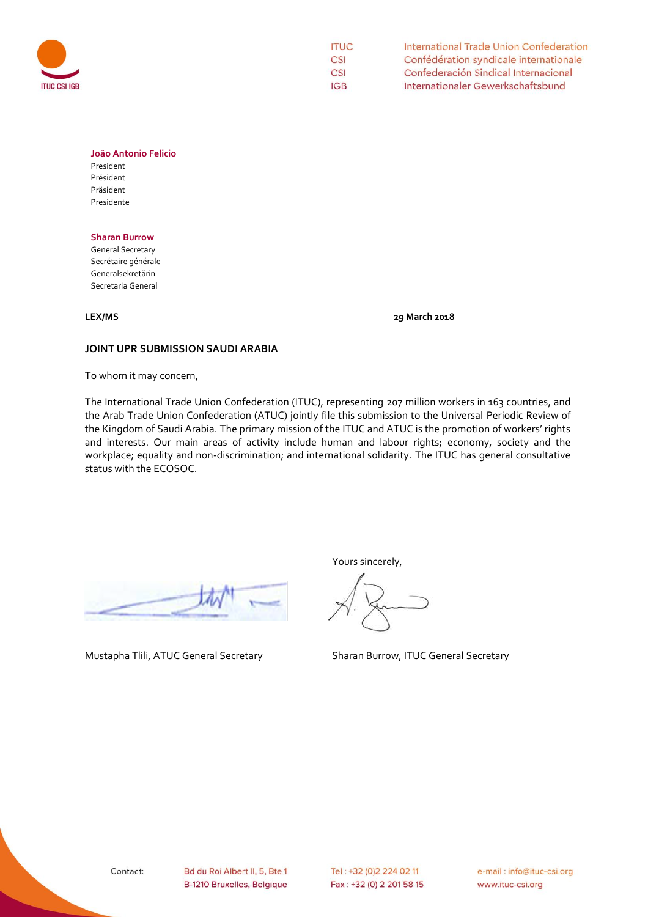

| <b>ITUC</b> | International Trade Union Confederation |
|-------------|-----------------------------------------|
| CSI         | Confédération syndicale internationale  |
| CSI         | Confederación Sindical Internacional    |
| IGB.        | Internationaler Gewerkschaftsbund       |

# **João Antonio Felicio**

President Président Präsident Presidente

## **Sharan Burrow**

General Secretary Secrétaire générale Generalsekretärin Secretaria General

**LEX/MS 29 March 2018**

# **JOINT UPR SUBMISSION SAUDI ARABIA**

To whom it may concern,

The International Trade Union Confederation (ITUC), representing 207 million workers in 163 countries, and the Arab Trade Union Confederation (ATUC) jointly file this submission to the Universal Periodic Review of the Kingdom of Saudi Arabia. The primary mission of the ITUC and ATUC is the promotion of workers' rights and interests. Our main areas of activity include human and labour rights; economy, society and the workplace; equality and non-discrimination; and international solidarity. The ITUC has general consultative status with the ECOSOC.

Yours sincerely,

Mustapha Tlili, ATUC General Secretary Sharan Burrow, ITUC General Secretary

e-mail: info@ituc-csi.org www.ituc-csi.org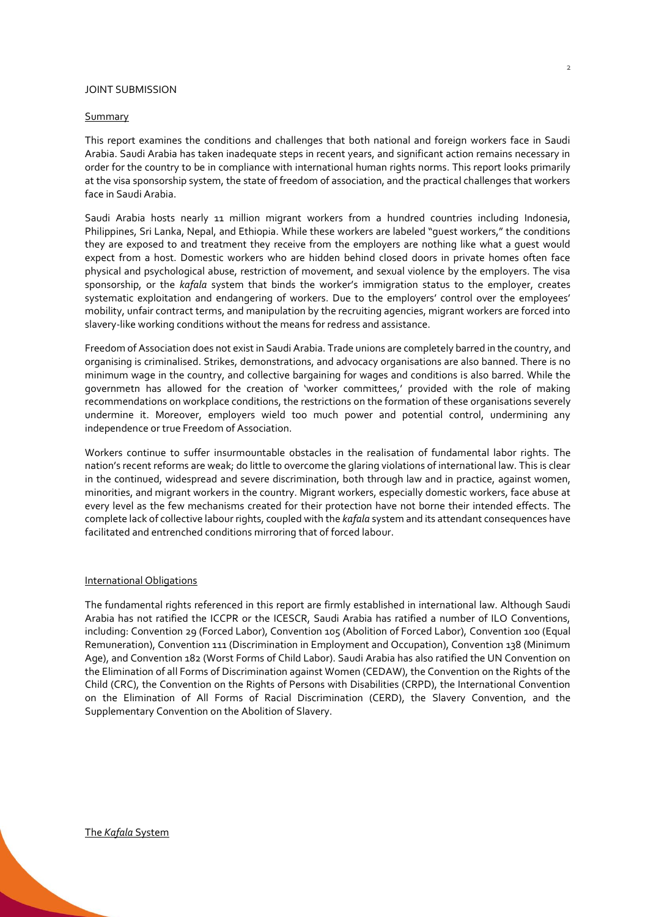# JOINT SUBMISSION

#### Summary

This report examines the conditions and challenges that both national and foreign workers face in Saudi Arabia. Saudi Arabia has taken inadequate steps in recent years, and significant action remains necessary in order for the country to be in compliance with international human rights norms. This report looks primarily at the visa sponsorship system, the state of freedom of association, and the practical challenges that workers face in Saudi Arabia.

Saudi Arabia hosts nearly 11 million migrant workers from a hundred countries including Indonesia, Philippines, Sri Lanka, Nepal, and Ethiopia. While these workers are labeled "guest workers," the conditions they are exposed to and treatment they receive from the employers are nothing like what a guest would expect from a host. Domestic workers who are hidden behind closed doors in private homes often face physical and psychological abuse, restriction of movement, and sexual violence by the employers. The visa sponsorship, or the *kafala* system that binds the worker's immigration status to the employer, creates systematic exploitation and endangering of workers. Due to the employers' control over the employees' mobility, unfair contract terms, and manipulation by the recruiting agencies, migrant workers are forced into slavery-like working conditions without the means for redress and assistance.

Freedom of Association does not exist in Saudi Arabia. Trade unions are completely barred in the country, and organising is criminalised. Strikes, demonstrations, and advocacy organisations are also banned. There is no minimum wage in the country, and collective bargaining for wages and conditions is also barred. While the governmetn has allowed for the creation of 'worker committees,' provided with the role of making recommendations on workplace conditions, the restrictions on the formation of these organisations severely undermine it. Moreover, employers wield too much power and potential control, undermining any independence or true Freedom of Association.

Workers continue to suffer insurmountable obstacles in the realisation of fundamental labor rights. The nation's recent reforms are weak; do little to overcome the glaring violations of international law. This is clear in the continued, widespread and severe discrimination, both through law and in practice, against women, minorities, and migrant workers in the country. Migrant workers, especially domestic workers, face abuse at every level as the few mechanisms created for their protection have not borne their intended effects. The complete lack of collective labour rights, coupled with the *kafala* system and its attendant consequences have facilitated and entrenched conditions mirroring that of forced labour.

#### International Obligations

The fundamental rights referenced in this report are firmly established in international law. Although Saudi Arabia has not ratified the ICCPR or the ICESCR, Saudi Arabia has ratified a number of ILO Conventions, including: Convention 29 (Forced Labor), Convention 105 (Abolition of Forced Labor), Convention 100 (Equal Remuneration), Convention 111 (Discrimination in Employment and Occupation), Convention 138 (Minimum Age), and Convention 182 (Worst Forms of Child Labor). Saudi Arabia has also ratified the UN Convention on the Elimination of all Forms of Discrimination against Women (CEDAW), the Convention on the Rights of the Child (CRC), the Convention on the Rights of Persons with Disabilities (CRPD), the International Convention on the Elimination of All Forms of Racial Discrimination (CERD), the Slavery Convention, and the Supplementary Convention on the Abolition of Slavery.

2

#### The *Kafala* System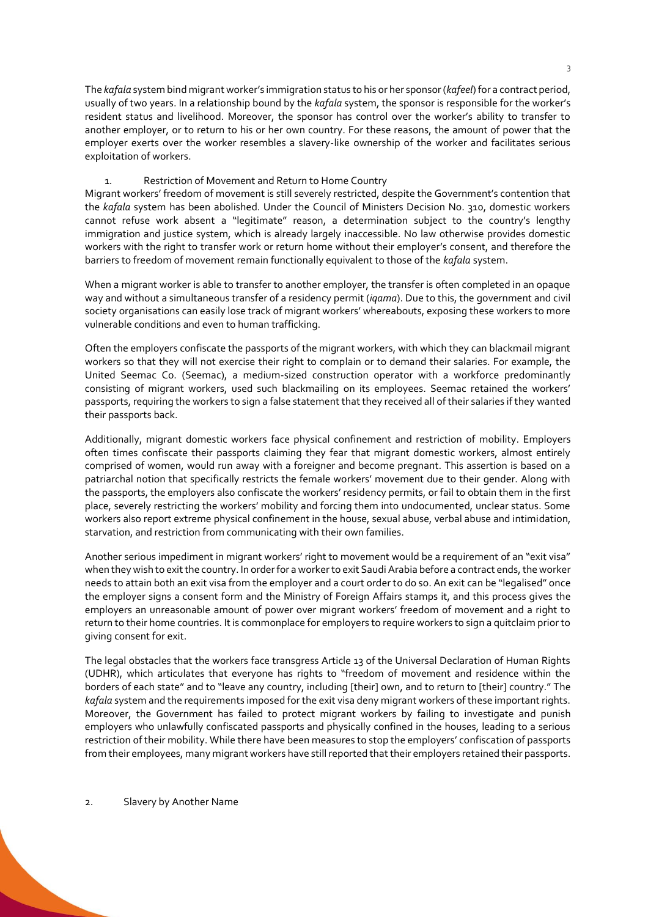The *kafala* system bind migrant worker's immigration status to his or her sponsor (*kafeel*) for a contract period, usually of two years. In a relationship bound by the *kafala* system, the sponsor is responsible for the worker's resident status and livelihood. Moreover, the sponsor has control over the worker's ability to transfer to another employer, or to return to his or her own country. For these reasons, the amount of power that the employer exerts over the worker resembles a slavery-like ownership of the worker and facilitates serious exploitation of workers.

# 1. Restriction of Movement and Return to Home Country

Migrant workers' freedom of movement is still severely restricted, despite the Government's contention that the *kafala* system has been abolished. Under the Council of Ministers Decision No. 310, domestic workers cannot refuse work absent a "legitimate" reason, a determination subject to the country's lengthy immigration and justice system, which is already largely inaccessible. No law otherwise provides domestic workers with the right to transfer work or return home without their employer's consent, and therefore the barriers to freedom of movement remain functionally equivalent to those of the *kafala* system.

When a migrant worker is able to transfer to another employer, the transfer is often completed in an opaque way and without a simultaneous transfer of a residency permit (*iqama*). Due to this, the government and civil society organisations can easily lose track of migrant workers' whereabouts, exposing these workers to more vulnerable conditions and even to human trafficking.

Often the employers confiscate the passports of the migrant workers, with which they can blackmail migrant workers so that they will not exercise their right to complain or to demand their salaries. For example, the United Seemac Co. (Seemac), a medium-sized construction operator with a workforce predominantly consisting of migrant workers, used such blackmailing on its employees. Seemac retained the workers' passports, requiring the workers to sign a false statement that they received all of their salaries if they wanted their passports back.

Additionally, migrant domestic workers face physical confinement and restriction of mobility. Employers often times confiscate their passports claiming they fear that migrant domestic workers, almost entirely comprised of women, would run away with a foreigner and become pregnant. This assertion is based on a patriarchal notion that specifically restricts the female workers' movement due to their gender. Along with the passports, the employers also confiscate the workers' residency permits, or fail to obtain them in the first place, severely restricting the workers' mobility and forcing them into undocumented, unclear status. Some workers also report extreme physical confinement in the house, sexual abuse, verbal abuse and intimidation, starvation, and restriction from communicating with their own families.

Another serious impediment in migrant workers' right to movement would be a requirement of an "exit visa" when they wish to exit the country. In order for a worker to exit Saudi Arabia before a contract ends, the worker needs to attain both an exit visa from the employer and a court order to do so. An exit can be "legalised" once the employer signs a consent form and the Ministry of Foreign Affairs stamps it, and this process gives the employers an unreasonable amount of power over migrant workers' freedom of movement and a right to return to their home countries. It is commonplace for employers to require workers to sign a quitclaim prior to giving consent for exit.

The legal obstacles that the workers face transgress Article 13 of the Universal Declaration of Human Rights (UDHR), which articulates that everyone has rights to "freedom of movement and residence within the borders of each state" and to "leave any country, including [their] own, and to return to [their] country." The *kafala* system and the requirements imposed for the exit visa deny migrant workers of these important rights. Moreover, the Government has failed to protect migrant workers by failing to investigate and punish employers who unlawfully confiscated passports and physically confined in the houses, leading to a serious restriction of their mobility. While there have been measures to stop the employers' confiscation of passports from their employees, many migrant workers have still reported that their employers retained their passports.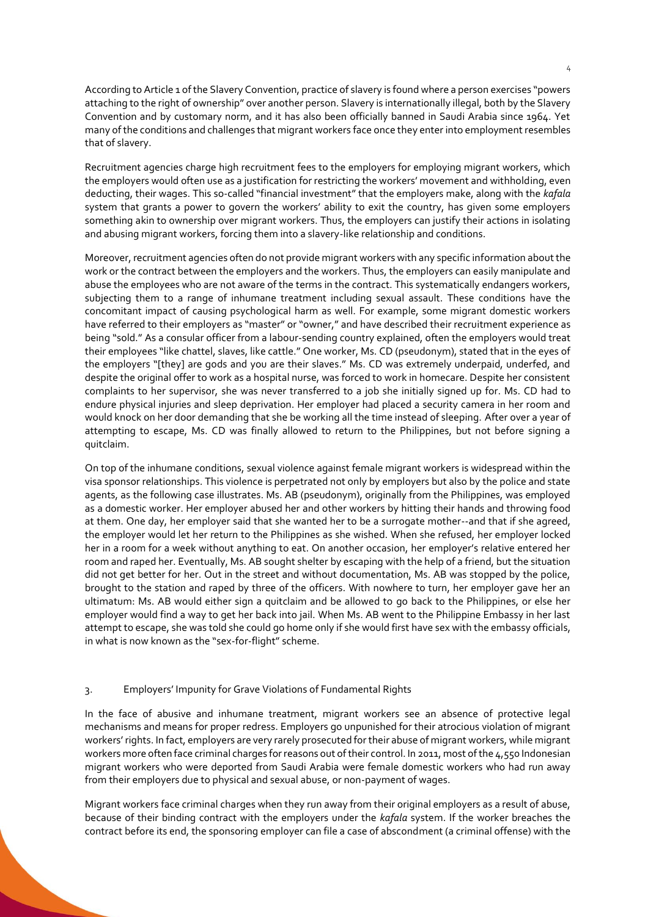According to Article 1 of the Slavery Convention, practice of slavery is found where a person exercises "powers attaching to the right of ownership" over another person. Slavery is internationally illegal, both by the Slavery Convention and by customary norm, and it has also been officially banned in Saudi Arabia since 1964. Yet many of the conditions and challenges that migrant workers face once they enter into employment resembles that of slavery.

Recruitment agencies charge high recruitment fees to the employers for employing migrant workers, which the employers would often use as a justification for restricting the workers' movement and withholding, even deducting, their wages. This so-called "financial investment" that the employers make, along with the *kafala*  system that grants a power to govern the workers' ability to exit the country, has given some employers something akin to ownership over migrant workers. Thus, the employers can justify their actions in isolating and abusing migrant workers, forcing them into a slavery-like relationship and conditions.

Moreover, recruitment agencies often do not provide migrant workers with any specific information about the work or the contract between the employers and the workers. Thus, the employers can easily manipulate and abuse the employees who are not aware of the terms in the contract. This systematically endangers workers, subjecting them to a range of inhumane treatment including sexual assault. These conditions have the concomitant impact of causing psychological harm as well. For example, some migrant domestic workers have referred to their employers as "master" or "owner," and have described their recruitment experience as being "sold." As a consular officer from a labour-sending country explained, often the employers would treat their employees "like chattel, slaves, like cattle." One worker, Ms. CD (pseudonym), stated that in the eyes of the employers "[they] are gods and you are their slaves." Ms. CD was extremely underpaid, underfed, and despite the original offer to work as a hospital nurse, was forced to work in homecare. Despite her consistent complaints to her supervisor, she was never transferred to a job she initially signed up for. Ms. CD had to endure physical injuries and sleep deprivation. Her employer had placed a security camera in her room and would knock on her door demanding that she be working all the time instead of sleeping. After over a year of attempting to escape, Ms. CD was finally allowed to return to the Philippines, but not before signing a quitclaim.

On top of the inhumane conditions, sexual violence against female migrant workers is widespread within the visa sponsor relationships. This violence is perpetrated not only by employers but also by the police and state agents, as the following case illustrates. Ms. AB (pseudonym), originally from the Philippines, was employed as a domestic worker. Her employer abused her and other workers by hitting their hands and throwing food at them. One day, her employer said that she wanted her to be a surrogate mother--and that if she agreed, the employer would let her return to the Philippines as she wished. When she refused, her employer locked her in a room for a week without anything to eat. On another occasion, her employer's relative entered her room and raped her. Eventually, Ms. AB sought shelter by escaping with the help of a friend, but the situation did not get better for her. Out in the street and without documentation, Ms. AB was stopped by the police, brought to the station and raped by three of the officers. With nowhere to turn, her employer gave her an ultimatum: Ms. AB would either sign a quitclaim and be allowed to go back to the Philippines, or else her employer would find a way to get her back into jail. When Ms. AB went to the Philippine Embassy in her last attempt to escape, she was told she could go home only if she would first have sex with the embassy officials, in what is now known as the "sex-for-flight" scheme.

# 3. Employers' Impunity for Grave Violations of Fundamental Rights

In the face of abusive and inhumane treatment, migrant workers see an absence of protective legal mechanisms and means for proper redress. Employers go unpunished for their atrocious violation of migrant workers' rights. In fact, employers are very rarely prosecuted for their abuse of migrant workers, while migrant workers more often face criminal charges for reasons out of their control. In 2011, most of the 4,550 Indonesian migrant workers who were deported from Saudi Arabia were female domestic workers who had run away from their employers due to physical and sexual abuse, or non-payment of wages.

Migrant workers face criminal charges when they run away from their original employers as a result of abuse, because of their binding contract with the employers under the *kafala* system. If the worker breaches the contract before its end, the sponsoring employer can file a case of abscondment (a criminal offense) with the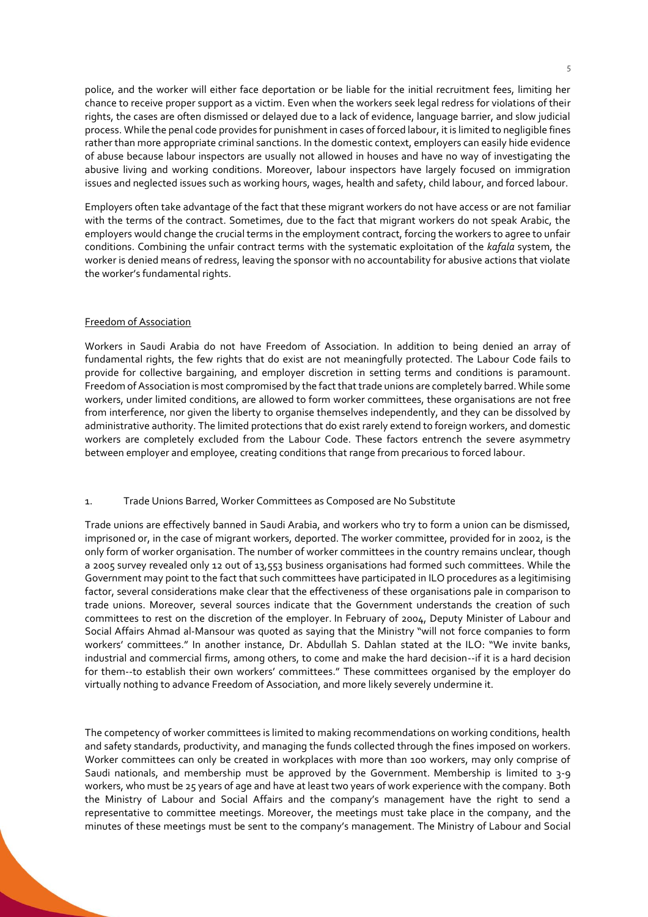police, and the worker will either face deportation or be liable for the initial recruitment fees, limiting her chance to receive proper support as a victim. Even when the workers seek legal redress for violations of their rights, the cases are often dismissed or delayed due to a lack of evidence, language barrier, and slow judicial process. While the penal code provides for punishment in cases of forced labour, it is limited to negligible fines rather than more appropriate criminal sanctions. In the domestic context, employers can easily hide evidence of abuse because labour inspectors are usually not allowed in houses and have no way of investigating the abusive living and working conditions. Moreover, labour inspectors have largely focused on immigration issues and neglected issues such as working hours, wages, health and safety, child labour, and forced labour.

Employers often take advantage of the fact that these migrant workers do not have access or are not familiar with the terms of the contract. Sometimes, due to the fact that migrant workers do not speak Arabic, the employers would change the crucial terms in the employment contract, forcing the workers to agree to unfair conditions. Combining the unfair contract terms with the systematic exploitation of the *kafala* system, the worker is denied means of redress, leaving the sponsor with no accountability for abusive actions that violate the worker's fundamental rights.

# Freedom of Association

Workers in Saudi Arabia do not have Freedom of Association. In addition to being denied an array of fundamental rights, the few rights that do exist are not meaningfully protected. The Labour Code fails to provide for collective bargaining, and employer discretion in setting terms and conditions is paramount. Freedom of Association is most compromised by the fact that trade unions are completely barred. While some workers, under limited conditions, are allowed to form worker committees, these organisations are not free from interference, nor given the liberty to organise themselves independently, and they can be dissolved by administrative authority. The limited protections that do exist rarely extend to foreign workers, and domestic workers are completely excluded from the Labour Code. These factors entrench the severe asymmetry between employer and employee, creating conditions that range from precarious to forced labour.

## 1. Trade Unions Barred, Worker Committees as Composed are No Substitute

Trade unions are effectively banned in Saudi Arabia, and workers who try to form a union can be dismissed, imprisoned or, in the case of migrant workers, deported. The worker committee, provided for in 2002, is the only form of worker organisation. The number of worker committees in the country remains unclear, though a 2005 survey revealed only 12 out of 13,553 business organisations had formed such committees. While the Government may point to the fact that such committees have participated in ILO procedures as a legitimising factor, several considerations make clear that the effectiveness of these organisations pale in comparison to trade unions. Moreover, several sources indicate that the Government understands the creation of such committees to rest on the discretion of the employer. In February of 2004, Deputy Minister of Labour and Social Affairs Ahmad al-Mansour was quoted as saying that the Ministry "will not force companies to form workers' committees." In another instance, Dr. Abdullah S. Dahlan stated at the ILO: "We invite banks, industrial and commercial firms, among others, to come and make the hard decision--if it is a hard decision for them--to establish their own workers' committees." These committees organised by the employer do virtually nothing to advance Freedom of Association, and more likely severely undermine it.

The competency of worker committees is limited to making recommendations on working conditions, health and safety standards, productivity, and managing the funds collected through the fines imposed on workers. Worker committees can only be created in workplaces with more than 100 workers, may only comprise of Saudi nationals, and membership must be approved by the Government. Membership is limited to 3-9 workers, who must be 25 years of age and have at least two years of work experience with the company. Both the Ministry of Labour and Social Affairs and the company's management have the right to send a representative to committee meetings. Moreover, the meetings must take place in the company, and the minutes of these meetings must be sent to the company's management. The Ministry of Labour and Social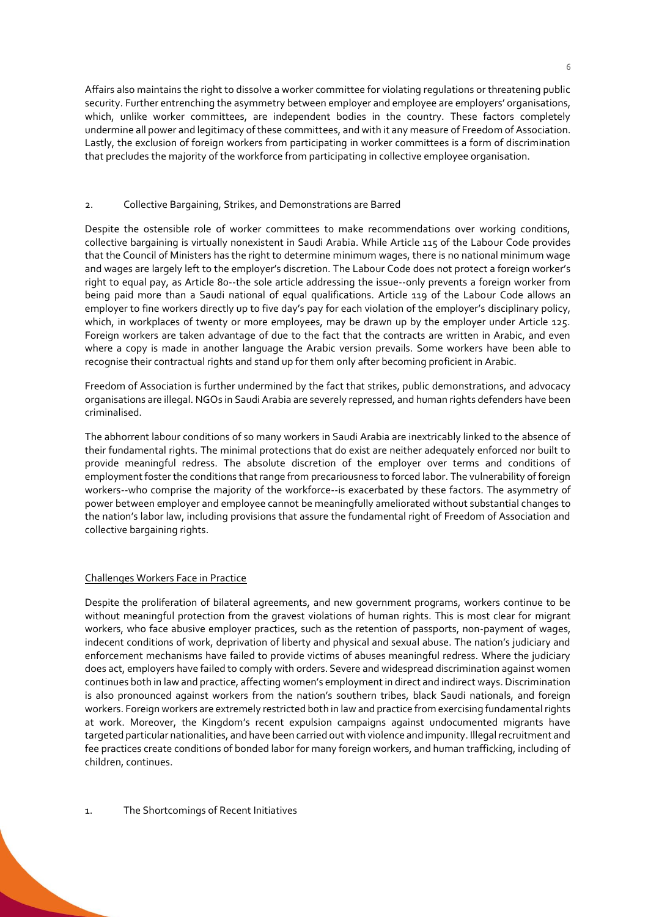Affairs also maintains the right to dissolve a worker committee for violating regulations or threatening public security. Further entrenching the asymmetry between employer and employee are employers' organisations, which, unlike worker committees, are independent bodies in the country. These factors completely undermine all power and legitimacy of these committees, and with it any measure of Freedom of Association. Lastly, the exclusion of foreign workers from participating in worker committees is a form of discrimination that precludes the majority of the workforce from participating in collective employee organisation.

#### 2. Collective Bargaining, Strikes, and Demonstrations are Barred

Despite the ostensible role of worker committees to make recommendations over working conditions, collective bargaining is virtually nonexistent in Saudi Arabia. While Article 115 of the Labour Code provides that the Council of Ministers has the right to determine minimum wages, there is no national minimum wage and wages are largely left to the employer's discretion. The Labour Code does not protect a foreign worker's right to equal pay, as Article 80--the sole article addressing the issue--only prevents a foreign worker from being paid more than a Saudi national of equal qualifications. Article 119 of the Labour Code allows an employer to fine workers directly up to five day's pay for each violation of the employer's disciplinary policy, which, in workplaces of twenty or more employees, may be drawn up by the employer under Article 125. Foreign workers are taken advantage of due to the fact that the contracts are written in Arabic, and even where a copy is made in another language the Arabic version prevails. Some workers have been able to recognise their contractual rights and stand up for them only after becoming proficient in Arabic.

Freedom of Association is further undermined by the fact that strikes, public demonstrations, and advocacy organisations are illegal. NGOs in Saudi Arabia are severely repressed, and human rights defenders have been criminalised.

The abhorrent labour conditions of so many workers in Saudi Arabia are inextricably linked to the absence of their fundamental rights. The minimal protections that do exist are neither adequately enforced nor built to provide meaningful redress. The absolute discretion of the employer over terms and conditions of employment foster the conditions that range from precariousness to forced labor. The vulnerability of foreign workers--who comprise the majority of the workforce--is exacerbated by these factors. The asymmetry of power between employer and employee cannot be meaningfully ameliorated without substantial changes to the nation's labor law, including provisions that assure the fundamental right of Freedom of Association and collective bargaining rights.

## Challenges Workers Face in Practice

Despite the proliferation of bilateral agreements, and new government programs, workers continue to be without meaningful protection from the gravest violations of human rights. This is most clear for migrant workers, who face abusive employer practices, such as the retention of passports, non-payment of wages, indecent conditions of work, deprivation of liberty and physical and sexual abuse. The nation's judiciary and enforcement mechanisms have failed to provide victims of abuses meaningful redress. Where the judiciary does act, employers have failed to comply with orders. Severe and widespread discrimination against women continues both in law and practice, affecting women's employment in direct and indirect ways. Discrimination is also pronounced against workers from the nation's southern tribes, black Saudi nationals, and foreign workers. Foreign workers are extremely restricted both in law and practice from exercising fundamental rights at work. Moreover, the Kingdom's recent expulsion campaigns against undocumented migrants have targeted particular nationalities, and have been carried out with violence and impunity. Illegal recruitment and fee practices create conditions of bonded labor for many foreign workers, and human trafficking, including of children, continues.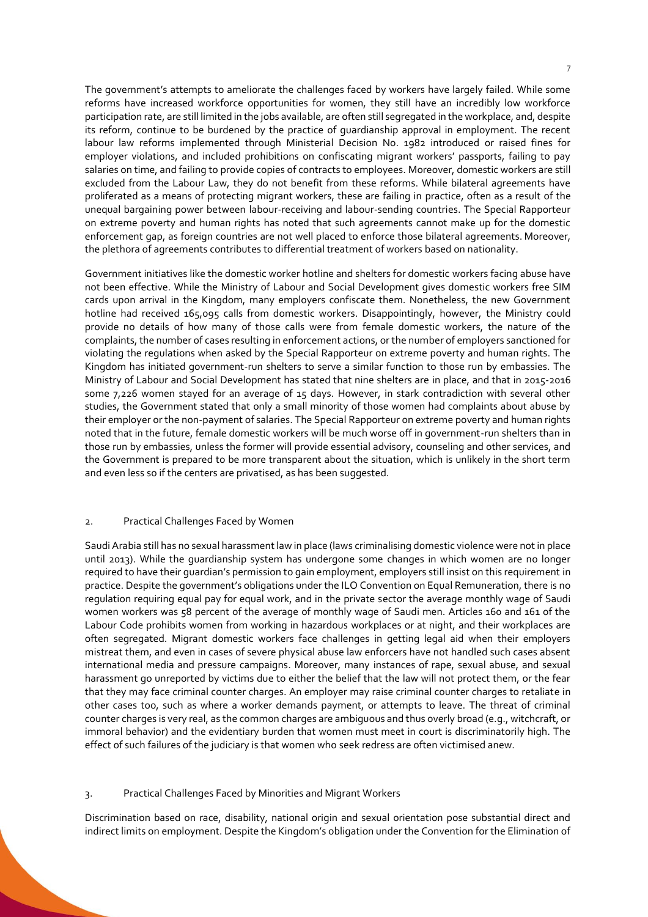The government's attempts to ameliorate the challenges faced by workers have largely failed. While some reforms have increased workforce opportunities for women, they still have an incredibly low workforce participation rate, are still limited in the jobs available, are often still segregated in the workplace, and, despite its reform, continue to be burdened by the practice of guardianship approval in employment. The recent labour law reforms implemented through Ministerial Decision No. 1982 introduced or raised fines for employer violations, and included prohibitions on confiscating migrant workers' passports, failing to pay salaries on time, and failing to provide copies of contracts to employees. Moreover, domestic workers are still excluded from the Labour Law, they do not benefit from these reforms. While bilateral agreements have proliferated as a means of protecting migrant workers, these are failing in practice, often as a result of the unequal bargaining power between labour-receiving and labour-sending countries. The Special Rapporteur on extreme poverty and human rights has noted that such agreements cannot make up for the domestic enforcement gap, as foreign countries are not well placed to enforce those bilateral agreements. Moreover, the plethora of agreements contributes to differential treatment of workers based on nationality.

Government initiatives like the domestic worker hotline and shelters for domestic workers facing abuse have not been effective. While the Ministry of Labour and Social Development gives domestic workers free SIM cards upon arrival in the Kingdom, many employers confiscate them. Nonetheless, the new Government hotline had received 165,095 calls from domestic workers. Disappointingly, however, the Ministry could provide no details of how many of those calls were from female domestic workers, the nature of the complaints, the number of cases resulting in enforcement actions, or the number of employers sanctioned for violating the regulations when asked by the Special Rapporteur on extreme poverty and human rights. The Kingdom has initiated government-run shelters to serve a similar function to those run by embassies. The Ministry of Labour and Social Development has stated that nine shelters are in place, and that in 2015-2016 some 7,226 women stayed for an average of 15 days. However, in stark contradiction with several other studies, the Government stated that only a small minority of those women had complaints about abuse by their employer or the non-payment of salaries. The Special Rapporteur on extreme poverty and human rights noted that in the future, female domestic workers will be much worse off in government-run shelters than in those run by embassies, unless the former will provide essential advisory, counseling and other services, and the Government is prepared to be more transparent about the situation, which is unlikely in the short term and even less so if the centers are privatised, as has been suggested.

# 2. Practical Challenges Faced by Women

Saudi Arabia still has no sexual harassment law in place (laws criminalising domestic violence were not in place until 2013). While the guardianship system has undergone some changes in which women are no longer required to have their guardian's permission to gain employment, employers still insist on this requirement in practice. Despite the government's obligations under the ILO Convention on Equal Remuneration, there is no regulation requiring equal pay for equal work, and in the private sector the average monthly wage of Saudi women workers was 58 percent of the average of monthly wage of Saudi men. Articles 160 and 161 of the Labour Code prohibits women from working in hazardous workplaces or at night, and their workplaces are often segregated. Migrant domestic workers face challenges in getting legal aid when their employers mistreat them, and even in cases of severe physical abuse law enforcers have not handled such cases absent international media and pressure campaigns. Moreover, many instances of rape, sexual abuse, and sexual harassment go unreported by victims due to either the belief that the law will not protect them, or the fear that they may face criminal counter charges. An employer may raise criminal counter charges to retaliate in other cases too, such as where a worker demands payment, or attempts to leave. The threat of criminal counter charges is very real, as the common charges are ambiguous and thus overly broad (e.g., witchcraft, or immoral behavior) and the evidentiary burden that women must meet in court is discriminatorily high. The effect of such failures of the judiciary is that women who seek redress are often victimised anew.

## 3. Practical Challenges Faced by Minorities and Migrant Workers

Discrimination based on race, disability, national origin and sexual orientation pose substantial direct and indirect limits on employment. Despite the Kingdom's obligation under the Convention for the Elimination of